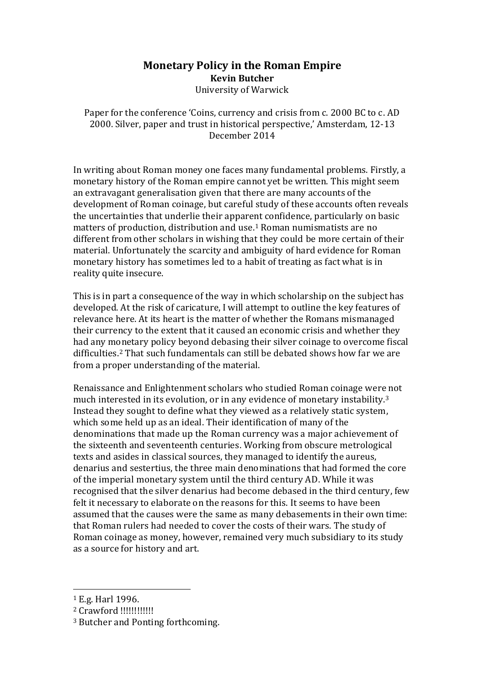## **Monetary Policy in the Roman Empire Kevin Butcher** University of Warwick

Paper for the conference 'Coins, currency and crisis from c. 2000 BC to c. AD 2000. Silver, paper and trust in historical perspective,' Amsterdam, 12-13 December 2014

In writing about Roman money one faces many fundamental problems. Firstly, a monetary history of the Roman empire cannot yet be written. This might seem an extravagant generalisation given that there are many accounts of the development of Roman coinage, but careful study of these accounts often reveals the uncertainties that underlie their apparent confidence, particularly on basic matters of production, distribution and use. <sup>1</sup> Roman numismatists are no different from other scholars in wishing that they could be more certain of their material. Unfortunately the scarcity and ambiguity of hard evidence for Roman monetary history has sometimes led to a habit of treating as fact what is in reality quite insecure.

This is in part a consequence of the way in which scholarship on the subject has developed. At the risk of caricature, I will attempt to outline the key features of relevance here. At its heart is the matter of whether the Romans mismanaged their currency to the extent that it caused an economic crisis and whether they had any monetary policy beyond debasing their silver coinage to overcome fiscal difficulties. <sup>2</sup> That such fundamentals can still be debated shows how far we are from a proper understanding of the material.

Renaissance and Enlightenment scholars who studied Roman coinage were not much interested in its evolution, or in any evidence of monetary instability. 3 Instead they sought to define what they viewed as a relatively static system, which some held up as an ideal. Their identification of many of the denominations that made up the Roman currency was a major achievement of the sixteenth and seventeenth centuries. Working from obscure metrological texts and asides in classical sources, they managed to identify the aureus, denarius and sestertius, the three main denominations that had formed the core of the imperial monetary system until the third century AD. While it was recognised that the silver denarius had become debased in the third century, few felt it necessary to elaborate on the reasons for this. It seems to have been assumed that the causes were the same as many debasements in their own time: that Roman rulers had needed to cover the costs of their wars. The study of Roman coinage as money, however, remained very much subsidiary to its study as a source for history and art.

<sup>1</sup> E.g. Harl 1996.

<sup>2</sup> Crawford !!!!!!!!!!!!

<sup>3</sup> Butcher and Ponting forthcoming.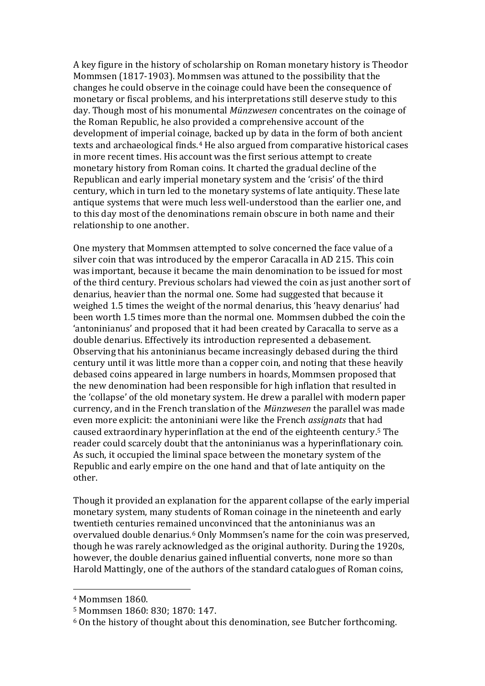A key figure in the history of scholarship on Roman monetary history is Theodor Mommsen (1817-1903). Mommsen was attuned to the possibility that the changes he could observe in the coinage could have been the consequence of monetary or fiscal problems, and his interpretations still deserve study to this day. Though most of his monumental *Münzwesen* concentrates on the coinage of the Roman Republic, he also provided a comprehensive account of the development of imperial coinage, backed up by data in the form of both ancient texts and archaeological finds.<sup>4</sup> He also argued from comparative historical cases in more recent times. His account was the first serious attempt to create monetary history from Roman coins. It charted the gradual decline of the Republican and early imperial monetary system and the 'crisis' of the third century, which in turn led to the monetary systems of late antiquity. These late antique systems that were much less well-understood than the earlier one, and to this day most of the denominations remain obscure in both name and their relationship to one another.

One mystery that Mommsen attempted to solve concerned the face value of a silver coin that was introduced by the emperor Caracalla in AD 215. This coin was important, because it became the main denomination to be issued for most of the third century. Previous scholars had viewed the coin as just another sort of denarius, heavier than the normal one. Some had suggested that because it weighed 1.5 times the weight of the normal denarius, this 'heavy denarius' had been worth 1.5 times more than the normal one. Mommsen dubbed the coin the 'antoninianus' and proposed that it had been created by Caracalla to serve as a double denarius. Effectively its introduction represented a debasement. Observing that his antoninianus became increasingly debased during the third century until it was little more than a copper coin, and noting that these heavily debased coins appeared in large numbers in hoards, Mommsen proposed that the new denomination had been responsible for high inflation that resulted in the 'collapse' of the old monetary system. He drew a parallel with modern paper currency, and in the French translation of the *Münzwesen* the parallel was made even more explicit: the antoniniani were like the French *assignats* that had caused extraordinary hyperinflation at the end of the eighteenth century. <sup>5</sup> The reader could scarcely doubt that the antoninianus was a hyperinflationary coin. As such, it occupied the liminal space between the monetary system of the Republic and early empire on the one hand and that of late antiquity on the other.

Though it provided an explanation for the apparent collapse of the early imperial monetary system, many students of Roman coinage in the nineteenth and early twentieth centuries remained unconvinced that the antoninianus was an overvalued double denarius.<sup>6</sup> Only Mommsen's name for the coin was preserved, though he was rarely acknowledged as the original authority. During the 1920s, however, the double denarius gained influential converts, none more so than Harold Mattingly, one of the authors of the standard catalogues of Roman coins,

<sup>4</sup> Mommsen 1860.

<sup>5</sup> Mommsen 1860: 830; 1870: 147.

<sup>6</sup> On the history of thought about this denomination, see Butcher forthcoming.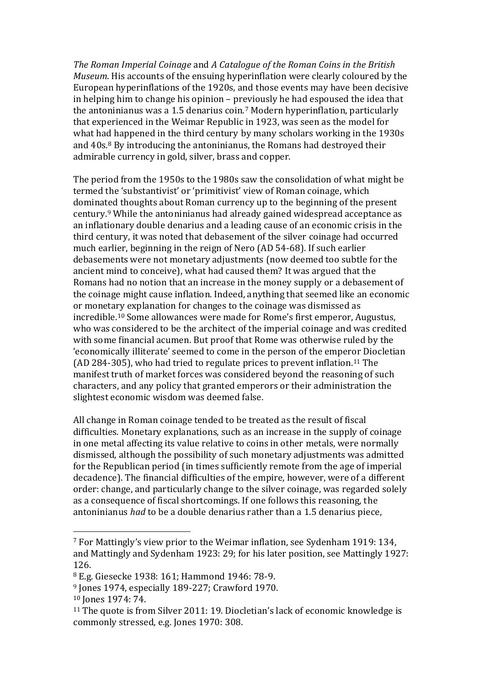*The Roman Imperial Coinage* and *A Catalogue of the Roman Coins in the British Museum*. His accounts of the ensuing hyperinflation were clearly coloured by the European hyperinflations of the 1920s, and those events may have been decisive in helping him to change his opinion – previously he had espoused the idea that the antoninianus was a 1.5 denarius coin.<sup>7</sup> Modern hyperinflation, particularly that experienced in the Weimar Republic in 1923, was seen as the model for what had happened in the third century by many scholars working in the 1930s and 40s. <sup>8</sup> By introducing the antoninianus, the Romans had destroyed their admirable currency in gold, silver, brass and copper.

The period from the 1950s to the 1980s saw the consolidation of what might be termed the 'substantivist' or 'primitivist' view of Roman coinage, which dominated thoughts about Roman currency up to the beginning of the present century. <sup>9</sup> While the antoninianus had already gained widespread acceptance as an inflationary double denarius and a leading cause of an economic crisis in the third century, it was noted that debasement of the silver coinage had occurred much earlier, beginning in the reign of Nero (AD 54-68). If such earlier debasements were not monetary adjustments (now deemed too subtle for the ancient mind to conceive), what had caused them? It was argued that the Romans had no notion that an increase in the money supply or a debasement of the coinage might cause inflation. Indeed, anything that seemed like an economic or monetary explanation for changes to the coinage was dismissed as incredible.<sup>10</sup> Some allowances were made for Rome's first emperor, Augustus, who was considered to be the architect of the imperial coinage and was credited with some financial acumen. But proof that Rome was otherwise ruled by the 'economically illiterate' seemed to come in the person of the emperor Diocletian (AD 284-305), who had tried to regulate prices to prevent inflation.<sup>11</sup> The manifest truth of market forces was considered beyond the reasoning of such characters, and any policy that granted emperors or their administration the slightest economic wisdom was deemed false.

All change in Roman coinage tended to be treated as the result of fiscal difficulties. Monetary explanations, such as an increase in the supply of coinage in one metal affecting its value relative to coins in other metals, were normally dismissed, although the possibility of such monetary adjustments was admitted for the Republican period (in times sufficiently remote from the age of imperial decadence). The financial difficulties of the empire, however, were of a different order: change, and particularly change to the silver coinage, was regarded solely as a consequence of fiscal shortcomings. If one follows this reasoning, the antoninianus *had* to be a double denarius rather than a 1.5 denarius piece,

<sup>7</sup> For Mattingly's view prior to the Weimar inflation, see Sydenham 1919: 134, and Mattingly and Sydenham 1923: 29; for his later position, see Mattingly 1927: 126.

<sup>8</sup> E.g. Giesecke 1938: 161; Hammond 1946: 78-9.

<sup>9</sup> Jones 1974, especially 189-227; Crawford 1970.

<sup>10</sup> Jones 1974: 74.

<sup>&</sup>lt;sup>11</sup> The quote is from Silver 2011: 19. Diocletian's lack of economic knowledge is commonly stressed, e.g. Jones 1970: 308.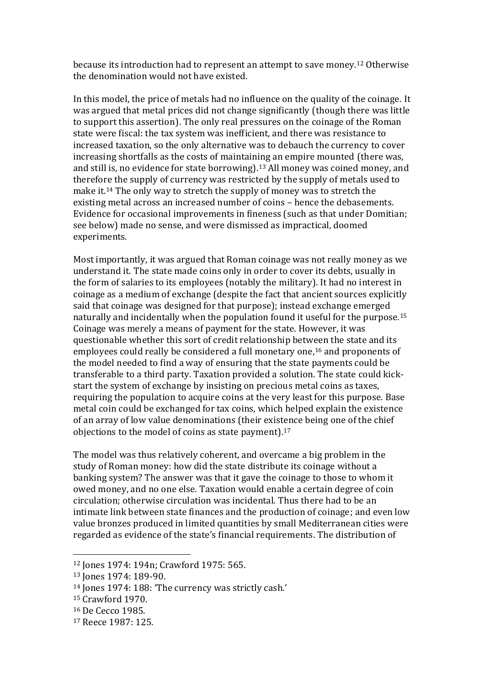because its introduction had to represent an attempt to save money. <sup>12</sup> Otherwise the denomination would not have existed.

In this model, the price of metals had no influence on the quality of the coinage. It was argued that metal prices did not change significantly (though there was little to support this assertion). The only real pressures on the coinage of the Roman state were fiscal: the tax system was inefficient, and there was resistance to increased taxation, so the only alternative was to debauch the currency to cover increasing shortfalls as the costs of maintaining an empire mounted (there was, and still is, no evidence for state borrowing). <sup>13</sup> All money was coined money, and therefore the supply of currency was restricted by the supply of metals used to make it.<sup>14</sup> The only way to stretch the supply of money was to stretch the existing metal across an increased number of coins – hence the debasements. Evidence for occasional improvements in fineness (such as that under Domitian; see below) made no sense, and were dismissed as impractical, doomed experiments.

Most importantly, it was argued that Roman coinage was not really money as we understand it. The state made coins only in order to cover its debts, usually in the form of salaries to its employees (notably the military). It had no interest in coinage as a medium of exchange (despite the fact that ancient sources explicitly said that coinage was designed for that purpose); instead exchange emerged naturally and incidentally when the population found it useful for the purpose.<sup>15</sup> Coinage was merely a means of payment for the state. However, it was questionable whether this sort of credit relationship between the state and its employees could really be considered a full monetary one, <sup>16</sup> and proponents of the model needed to find a way of ensuring that the state payments could be transferable to a third party. Taxation provided a solution. The state could kickstart the system of exchange by insisting on precious metal coins as taxes, requiring the population to acquire coins at the very least for this purpose. Base metal coin could be exchanged for tax coins, which helped explain the existence of an array of low value denominations (their existence being one of the chief objections to the model of coins as state payment). 17

The model was thus relatively coherent, and overcame a big problem in the study of Roman money: how did the state distribute its coinage without a banking system? The answer was that it gave the coinage to those to whom it owed money, and no one else. Taxation would enable a certain degree of coin circulation; otherwise circulation was incidental. Thus there had to be an intimate link between state finances and the production of coinage; and even low value bronzes produced in limited quantities by small Mediterranean cities were regarded as evidence of the state's financial requirements. The distribution of

<sup>12</sup> Jones 1974: 194n; Crawford 1975: 565.

<sup>13</sup> Jones 1974: 189-90.

<sup>14</sup> Jones 1974: 188: 'The currency was strictly cash.'

<sup>15</sup> Crawford 1970.

<sup>16</sup> De Cecco 1985.

<sup>17</sup> Reece 1987: 125.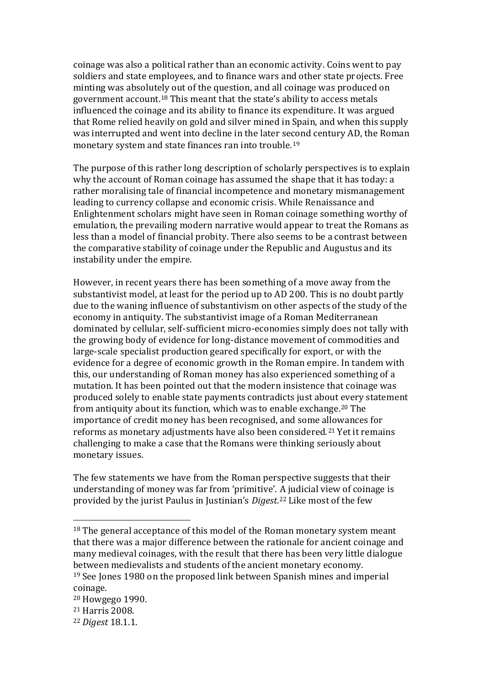coinage was also a political rather than an economic activity. Coins went to pay soldiers and state employees, and to finance wars and other state projects. Free minting was absolutely out of the question, and all coinage was produced on government account. <sup>18</sup> This meant that the state's ability to access metals influenced the coinage and its ability to finance its expenditure. It was argued that Rome relied heavily on gold and silver mined in Spain, and when this supply was interrupted and went into decline in the later second century AD, the Roman monetary system and state finances ran into trouble.<sup>19</sup>

The purpose of this rather long description of scholarly perspectives is to explain why the account of Roman coinage has assumed the shape that it has today: a rather moralising tale of financial incompetence and monetary mismanagement leading to currency collapse and economic crisis. While Renaissance and Enlightenment scholars might have seen in Roman coinage something worthy of emulation, the prevailing modern narrative would appear to treat the Romans as less than a model of financial probity. There also seems to be a contrast between the comparative stability of coinage under the Republic and Augustus and its instability under the empire.

However, in recent years there has been something of a move away from the substantivist model, at least for the period up to AD 200. This is no doubt partly due to the waning influence of substantivism on other aspects of the study of the economy in antiquity. The substantivist image of a Roman Mediterranean dominated by cellular, self-sufficient micro-economies simply does not tally with the growing body of evidence for long-distance movement of commodities and large-scale specialist production geared specifically for export, or with the evidence for a degree of economic growth in the Roman empire. In tandem with this, our understanding of Roman money has also experienced something of a mutation. It has been pointed out that the modern insistence that coinage was produced solely to enable state payments contradicts just about every statement from antiquity about its function, which was to enable exchange.<sup>20</sup> The importance of credit money has been recognised, and some allowances for reforms as monetary adjustments have also been considered.<sup>21</sup> Yet it remains challenging to make a case that the Romans were thinking seriously about monetary issues.

The few statements we have from the Roman perspective suggests that their understanding of money was far from 'primitive'. A judicial view of coinage is provided by the jurist Paulus in Justinian's *Digest*. <sup>22</sup> Like most of the few

<sup>19</sup> See Jones 1980 on the proposed link between Spanish mines and imperial coinage.

<sup>&</sup>lt;sup>18</sup> The general acceptance of this model of the Roman monetary system meant that there was a major difference between the rationale for ancient coinage and many medieval coinages, with the result that there has been very little dialogue between medievalists and students of the ancient monetary economy.

<sup>20</sup> Howgego 1990.

<sup>21</sup> Harris 2008.

<sup>22</sup> *Digest* 18.1.1.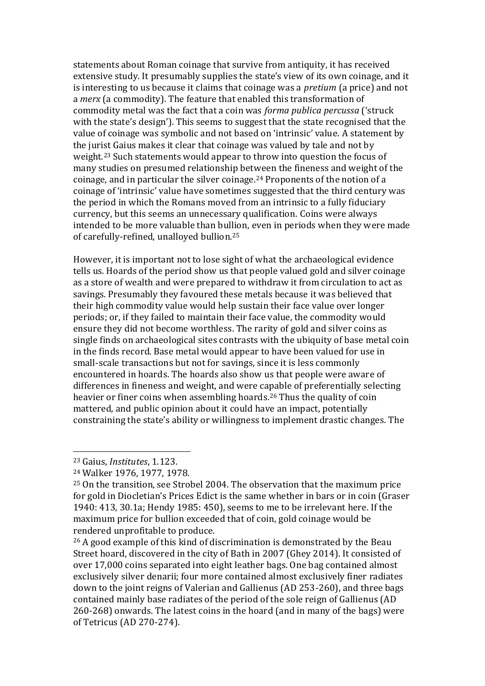statements about Roman coinage that survive from antiquity, it has received extensive study. It presumably supplies the state's view of its own coinage, and it is interesting to us because it claims that coinage was a *pretium* (a price) and not a *merx* (a commodity). The feature that enabled this transformation of commodity metal was the fact that a coin was *forma publica percussa* ('struck with the state's design'). This seems to suggest that the state recognised that the value of coinage was symbolic and not based on 'intrinsic' value. A statement by the jurist Gaius makes it clear that coinage was valued by tale and not by weight.<sup>23</sup> Such statements would appear to throw into question the focus of many studies on presumed relationship between the fineness and weight of the coinage, and in particular the silver coinage.<sup>24</sup> Proponents of the notion of a coinage of 'intrinsic' value have sometimes suggested that the third century was the period in which the Romans moved from an intrinsic to a fully fiduciary currency, but this seems an unnecessary qualification. Coins were always intended to be more valuable than bullion, even in periods when they were made of carefully-refined, unalloyed bullion. 25

However, it is important not to lose sight of what the archaeological evidence tells us. Hoards of the period show us that people valued gold and silver coinage as a store of wealth and were prepared to withdraw it from circulation to act as savings. Presumably they favoured these metals because it was believed that their high commodity value would help sustain their face value over longer periods; or, if they failed to maintain their face value, the commodity would ensure they did not become worthless. The rarity of gold and silver coins as single finds on archaeological sites contrasts with the ubiquity of base metal coin in the finds record. Base metal would appear to have been valued for use in small-scale transactions but not for savings, since it is less commonly encountered in hoards. The hoards also show us that people were aware of differences in fineness and weight, and were capable of preferentially selecting heavier or finer coins when assembling hoards.<sup>26</sup> Thus the quality of coin mattered, and public opinion about it could have an impact, potentially constraining the state's ability or willingness to implement drastic changes. The

 $\overline{a}$ 

<sup>23</sup> Gaius, *Institutes*, 1.123.

<sup>24</sup> Walker 1976, 1977, 1978.

<sup>25</sup> On the transition, see Strobel 2004. The observation that the maximum price for gold in Diocletian's Prices Edict is the same whether in bars or in coin (Graser 1940: 413, 30.1a; Hendy 1985: 450), seems to me to be irrelevant here. If the maximum price for bullion exceeded that of coin, gold coinage would be rendered unprofitable to produce.

<sup>26</sup> A good example of this kind of discrimination is demonstrated by the Beau Street hoard, discovered in the city of Bath in 2007 (Ghey 2014). It consisted of over 17,000 coins separated into eight leather bags. One bag contained almost exclusively silver denarii; four more contained almost exclusively finer radiates down to the joint reigns of Valerian and Gallienus (AD 253-260), and three bags contained mainly base radiates of the period of the sole reign of Gallienus (AD 260-268) onwards. The latest coins in the hoard (and in many of the bags) were of Tetricus (AD 270-274).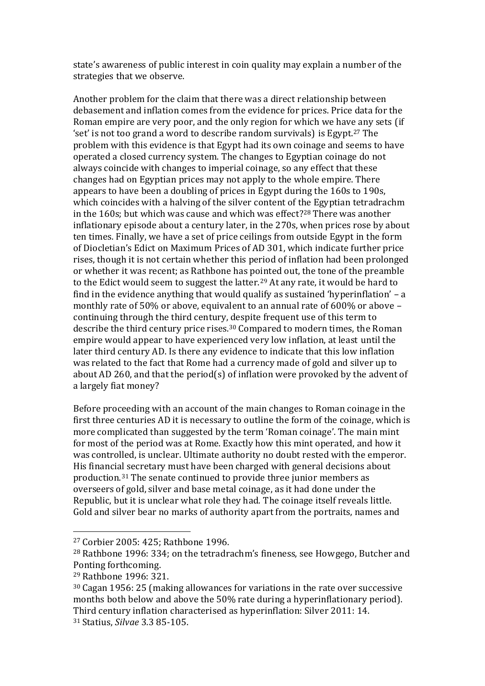state's awareness of public interest in coin quality may explain a number of the strategies that we observe.

Another problem for the claim that there was a direct relationship between debasement and inflation comes from the evidence for prices. Price data for the Roman empire are very poor, and the only region for which we have any sets (if 'set' is not too grand a word to describe random survivals) is Egypt.<sup>27</sup> The problem with this evidence is that Egypt had its own coinage and seems to have operated a closed currency system. The changes to Egyptian coinage do not always coincide with changes to imperial coinage, so any effect that these changes had on Egyptian prices may not apply to the whole empire. There appears to have been a doubling of prices in Egypt during the 160s to 190s, which coincides with a halving of the silver content of the Egyptian tetradrachm in the 160s; but which was cause and which was effect?<sup>28</sup> There was another inflationary episode about a century later, in the 270s, when prices rose by about ten times. Finally, we have a set of price ceilings from outside Egypt in the form of Diocletian's Edict on Maximum Prices of AD 301, which indicate further price rises, though it is not certain whether this period of inflation had been prolonged or whether it was recent; as Rathbone has pointed out, the tone of the preamble to the Edict would seem to suggest the latter.<sup>29</sup> At any rate, it would be hard to find in the evidence anything that would qualify as sustained 'hyperinflation' – a monthly rate of 50% or above, equivalent to an annual rate of 600% or above – continuing through the third century, despite frequent use of this term to describe the third century price rises.<sup>30</sup> Compared to modern times, the Roman empire would appear to have experienced very low inflation, at least until the later third century AD. Is there any evidence to indicate that this low inflation was related to the fact that Rome had a currency made of gold and silver up to about AD 260, and that the period(s) of inflation were provoked by the advent of a largely fiat money?

Before proceeding with an account of the main changes to Roman coinage in the first three centuries AD it is necessary to outline the form of the coinage, which is more complicated than suggested by the term 'Roman coinage'. The main mint for most of the period was at Rome. Exactly how this mint operated, and how it was controlled, is unclear. Ultimate authority no doubt rested with the emperor. His financial secretary must have been charged with general decisions about production.<sup>31</sup> The senate continued to provide three junior members as overseers of gold, silver and base metal coinage, as it had done under the Republic, but it is unclear what role they had. The coinage itself reveals little. Gold and silver bear no marks of authority apart from the portraits, names and

<sup>27</sup> Corbier 2005: 425; Rathbone 1996.

<sup>28</sup> Rathbone 1996: 334; on the tetradrachm's fineness, see Howgego, Butcher and Ponting forthcoming.

<sup>29</sup> Rathbone 1996: 321.

<sup>30</sup> Cagan 1956: 25 (making allowances for variations in the rate over successive months both below and above the 50% rate during a hyperinflationary period). Third century inflation characterised as hyperinflation: Silver 2011: 14. <sup>31</sup> Statius, *Silvae* 3.3 85-105.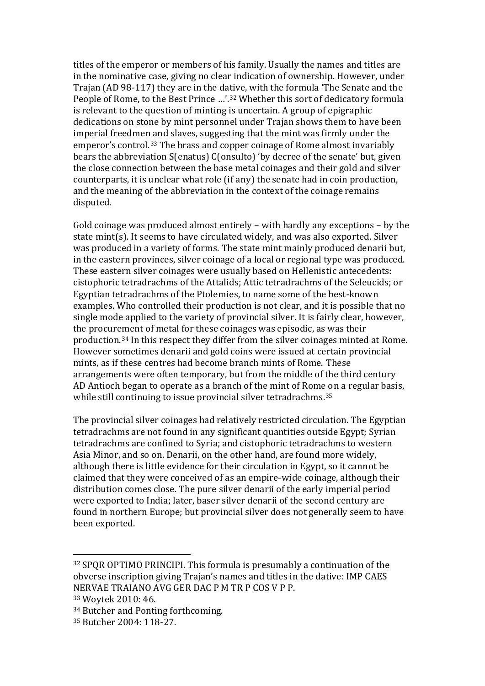titles of the emperor or members of his family. Usually the names and titles are in the nominative case, giving no clear indication of ownership. However, under Trajan (AD 98-117) they are in the dative, with the formula 'The Senate and the People of Rome, to the Best Prince …'. <sup>32</sup> Whether this sort of dedicatory formula is relevant to the question of minting is uncertain. A group of epigraphic dedications on stone by mint personnel under Trajan shows them to have been imperial freedmen and slaves, suggesting that the mint was firmly under the emperor's control.<sup>33</sup> The brass and copper coinage of Rome almost invariably bears the abbreviation S(enatus) C(onsulto) 'by decree of the senate' but, given the close connection between the base metal coinages and their gold and silver counterparts, it is unclear what role (if any) the senate had in coin production, and the meaning of the abbreviation in the context of the coinage remains disputed.

Gold coinage was produced almost entirely – with hardly any exceptions – by the state mint(s). It seems to have circulated widely, and was also exported. Silver was produced in a variety of forms. The state mint mainly produced denarii but, in the eastern provinces, silver coinage of a local or regional type was produced. These eastern silver coinages were usually based on Hellenistic antecedents: cistophoric tetradrachms of the Attalids; Attic tetradrachms of the Seleucids; or Egyptian tetradrachms of the Ptolemies, to name some of the best-known examples. Who controlled their production is not clear, and it is possible that no single mode applied to the variety of provincial silver. It is fairly clear, however, the procurement of metal for these coinages was episodic, as was their production.<sup>34</sup> In this respect they differ from the silver coinages minted at Rome. However sometimes denarii and gold coins were issued at certain provincial mints, as if these centres had become branch mints of Rome. These arrangements were often temporary, but from the middle of the third century AD Antioch began to operate as a branch of the mint of Rome on a regular basis, while still continuing to issue provincial silver tetradrachms.<sup>35</sup>

The provincial silver coinages had relatively restricted circulation. The Egyptian tetradrachms are not found in any significant quantities outside Egypt; Syrian tetradrachms are confined to Syria; and cistophoric tetradrachms to western Asia Minor, and so on. Denarii, on the other hand, are found more widely, although there is little evidence for their circulation in Egypt, so it cannot be claimed that they were conceived of as an empire-wide coinage, although their distribution comes close. The pure silver denarii of the early imperial period were exported to India; later, baser silver denarii of the second century are found in northern Europe; but provincial silver does not generally seem to have been exported.

<sup>32</sup> SPQR OPTIMO PRINCIPI. This formula is presumably a continuation of the obverse inscription giving Trajan's names and titles in the dative: IMP CAES NERVAE TRAIANO AVG GER DAC P M TR P COS V P P.

<sup>33</sup> Woytek 2010: 46.

<sup>34</sup> Butcher and Ponting forthcoming.

<sup>35</sup> Butcher 2004: 118-27.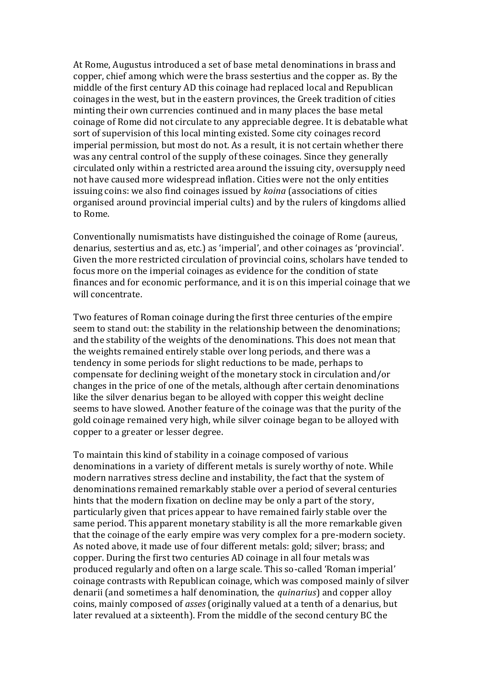At Rome, Augustus introduced a set of base metal denominations in brass and copper, chief among which were the brass sestertius and the copper as. By the middle of the first century AD this coinage had replaced local and Republican coinages in the west, but in the eastern provinces, the Greek tradition of cities minting their own currencies continued and in many places the base metal coinage of Rome did not circulate to any appreciable degree. It is debatable what sort of supervision of this local minting existed. Some city coinages record imperial permission, but most do not. As a result, it is not certain whether there was any central control of the supply of these coinages. Since they generally circulated only within a restricted area around the issuing city, oversupply need not have caused more widespread inflation. Cities were not the only entities issuing coins: we also find coinages issued by *koina* (associations of cities organised around provincial imperial cults) and by the rulers of kingdoms allied to Rome.

Conventionally numismatists have distinguished the coinage of Rome (aureus, denarius, sestertius and as, etc.) as 'imperial', and other coinages as 'provincial'. Given the more restricted circulation of provincial coins, scholars have tended to focus more on the imperial coinages as evidence for the condition of state finances and for economic performance, and it is on this imperial coinage that we will concentrate.

Two features of Roman coinage during the first three centuries of the empire seem to stand out: the stability in the relationship between the denominations; and the stability of the weights of the denominations. This does not mean that the weights remained entirely stable over long periods, and there was a tendency in some periods for slight reductions to be made, perhaps to compensate for declining weight of the monetary stock in circulation and/or changes in the price of one of the metals, although after certain denominations like the silver denarius began to be alloyed with copper this weight decline seems to have slowed. Another feature of the coinage was that the purity of the gold coinage remained very high, while silver coinage began to be alloyed with copper to a greater or lesser degree.

To maintain this kind of stability in a coinage composed of various denominations in a variety of different metals is surely worthy of note. While modern narratives stress decline and instability, the fact that the system of denominations remained remarkably stable over a period of several centuries hints that the modern fixation on decline may be only a part of the story, particularly given that prices appear to have remained fairly stable over the same period. This apparent monetary stability is all the more remarkable given that the coinage of the early empire was very complex for a pre-modern society. As noted above, it made use of four different metals: gold; silver; brass; and copper. During the first two centuries AD coinage in all four metals was produced regularly and often on a large scale. This so-called 'Roman imperial' coinage contrasts with Republican coinage, which was composed mainly of silver denarii (and sometimes a half denomination, the *quinarius*) and copper alloy coins, mainly composed of *asses* (originally valued at a tenth of a denarius, but later revalued at a sixteenth). From the middle of the second century BC the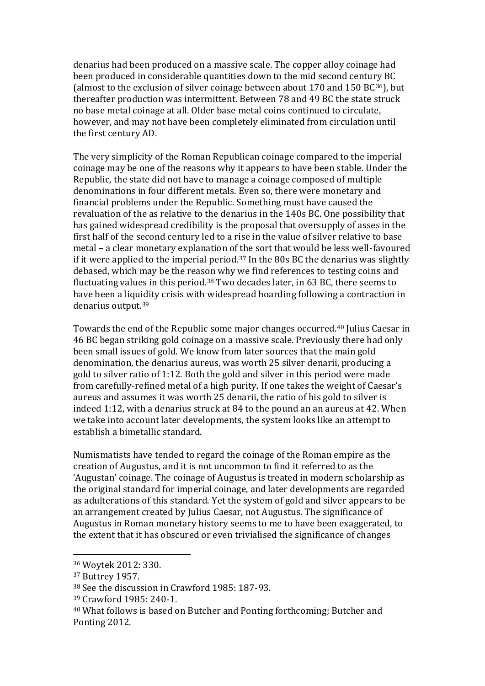denarius had been produced on a massive scale. The copper alloy coinage had been produced in considerable quantities down to the mid second century BC (almost to the exclusion of silver coinage between about 170 and 150 BC $^{36}$ ), but thereafter production was intermittent. Between 78 and 49 BC the state struck no base metal coinage at all. Older base metal coins continued to circulate, however, and may not have been completely eliminated from circulation until the first century AD.

The very simplicity of the Roman Republican coinage compared to the imperial coinage may be one of the reasons why it appears to have been stable. Under the Republic, the state did not have to manage a coinage composed of multiple denominations in four different metals. Even so, there were monetary and financial problems under the Republic. Something must have caused the revaluation of the as relative to the denarius in the 140s BC. One possibility that has gained widespread credibility is the proposal that oversupply of asses in the first half of the second century led to a rise in the value of silver relative to base metal – a clear monetary explanation of the sort that would be less well-favoured if it were applied to the imperial period.<sup>37</sup> In the 80s BC the denarius was slightly debased, which may be the reason why we find references to testing coins and fluctuating values in this period.<sup>38</sup> Two decades later, in 63 BC, there seems to have been a liquidity crisis with widespread hoarding following a contraction in denarius output.<sup>39</sup>

Towards the end of the Republic some major changes occurred.<sup>40</sup> Julius Caesar in 46 BC began striking gold coinage on a massive scale. Previously there had only been small issues of gold. We know from later sources that the main gold denomination, the denarius aureus, was worth 25 silver denarii, producing a gold to silver ratio of 1:12. Both the gold and silver in this period were made from carefully-refined metal of a high purity. If one takes the weight of Caesar's aureus and assumes it was worth 25 denarii, the ratio of his gold to silver is indeed 1:12, with a denarius struck at 84 to the pound an an aureus at 42. When we take into account later developments, the system looks like an attempt to establish a bimetallic standard.

Numismatists have tended to regard the coinage of the Roman empire as the creation of Augustus, and it is not uncommon to find it referred to as the 'Augustan' coinage. The coinage of Augustus is treated in modern scholarship as the original standard for imperial coinage, and later developments are regarded as adulterations of this standard. Yet the system of gold and silver appears to be an arrangement created by Julius Caesar, not Augustus. The significance of Augustus in Roman monetary history seems to me to have been exaggerated, to the extent that it has obscured or even trivialised the significance of changes

<sup>36</sup> Woytek 2012: 330.

<sup>37</sup> Buttrey 1957.

<sup>38</sup> See the discussion in Crawford 1985: 187-93.

<sup>39</sup> Crawford 1985: 240-1.

<sup>40</sup> What follows is based on Butcher and Ponting forthcoming; Butcher and Ponting 2012.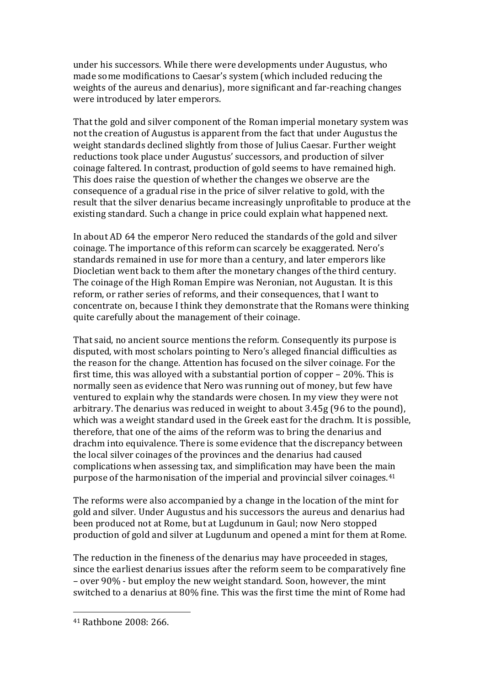under his successors. While there were developments under Augustus, who made some modifications to Caesar's system (which included reducing the weights of the aureus and denarius), more significant and far-reaching changes were introduced by later emperors.

That the gold and silver component of the Roman imperial monetary system was not the creation of Augustus is apparent from the fact that under Augustus the weight standards declined slightly from those of Julius Caesar. Further weight reductions took place under Augustus' successors, and production of silver coinage faltered. In contrast, production of gold seems to have remained high. This does raise the question of whether the changes we observe are the consequence of a gradual rise in the price of silver relative to gold, with the result that the silver denarius became increasingly unprofitable to produce at the existing standard. Such a change in price could explain what happened next.

In about AD 64 the emperor Nero reduced the standards of the gold and silver coinage. The importance of this reform can scarcely be exaggerated. Nero's standards remained in use for more than a century, and later emperors like Diocletian went back to them after the monetary changes of the third century. The coinage of the High Roman Empire was Neronian, not Augustan. It is this reform, or rather series of reforms, and their consequences, that I want to concentrate on, because I think they demonstrate that the Romans were thinking quite carefully about the management of their coinage.

That said, no ancient source mentions the reform. Consequently its purpose is disputed, with most scholars pointing to Nero's alleged financial difficulties as the reason for the change. Attention has focused on the silver coinage. For the first time, this was alloyed with a substantial portion of copper – 20%. This is normally seen as evidence that Nero was running out of money, but few have ventured to explain why the standards were chosen. In my view they were not arbitrary. The denarius was reduced in weight to about 3.45g (96 to the pound), which was a weight standard used in the Greek east for the drachm. It is possible, therefore, that one of the aims of the reform was to bring the denarius and drachm into equivalence. There is some evidence that the discrepancy between the local silver coinages of the provinces and the denarius had caused complications when assessing tax, and simplification may have been the main purpose of the harmonisation of the imperial and provincial silver coinages.<sup>41</sup>

The reforms were also accompanied by a change in the location of the mint for gold and silver. Under Augustus and his successors the aureus and denarius had been produced not at Rome, but at Lugdunum in Gaul; now Nero stopped production of gold and silver at Lugdunum and opened a mint for them at Rome.

The reduction in the fineness of the denarius may have proceeded in stages, since the earliest denarius issues after the reform seem to be comparatively fine – over 90% - but employ the new weight standard. Soon, however, the mint switched to a denarius at 80% fine. This was the first time the mint of Rome had

<sup>41</sup> Rathbone 2008: 266.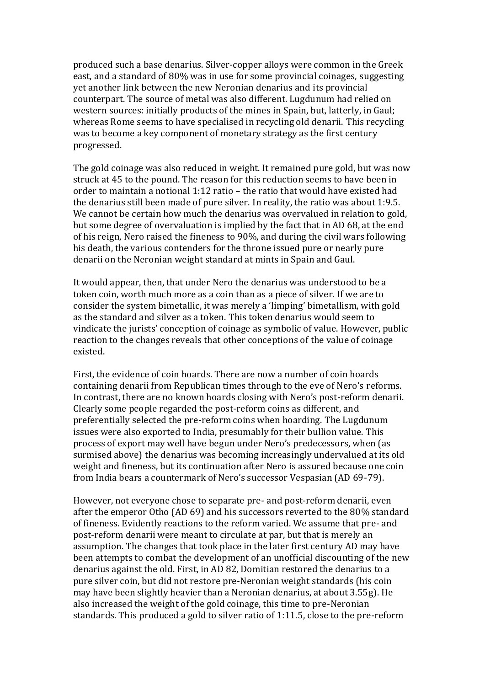produced such a base denarius. Silver-copper alloys were common in the Greek east, and a standard of 80% was in use for some provincial coinages, suggesting yet another link between the new Neronian denarius and its provincial counterpart. The source of metal was also different. Lugdunum had relied on western sources: initially products of the mines in Spain, but, latterly, in Gaul; whereas Rome seems to have specialised in recycling old denarii. This recycling was to become a key component of monetary strategy as the first century progressed.

The gold coinage was also reduced in weight. It remained pure gold, but was now struck at 45 to the pound. The reason for this reduction seems to have been in order to maintain a notional 1:12 ratio – the ratio that would have existed had the denarius still been made of pure silver. In reality, the ratio was about 1:9.5. We cannot be certain how much the denarius was overvalued in relation to gold, but some degree of overvaluation is implied by the fact that in AD 68, at the end of his reign, Nero raised the fineness to 90%, and during the civil wars following his death, the various contenders for the throne issued pure or nearly pure denarii on the Neronian weight standard at mints in Spain and Gaul.

It would appear, then, that under Nero the denarius was understood to be a token coin, worth much more as a coin than as a piece of silver. If we are to consider the system bimetallic, it was merely a 'limping' bimetallism, with gold as the standard and silver as a token. This token denarius would seem to vindicate the jurists' conception of coinage as symbolic of value. However, public reaction to the changes reveals that other conceptions of the value of coinage existed.

First, the evidence of coin hoards. There are now a number of coin hoards containing denarii from Republican times through to the eve of Nero's reforms. In contrast, there are no known hoards closing with Nero's post-reform denarii. Clearly some people regarded the post-reform coins as different, and preferentially selected the pre-reform coins when hoarding. The Lugdunum issues were also exported to India, presumably for their bullion value. This process of export may well have begun under Nero's predecessors, when (as surmised above) the denarius was becoming increasingly undervalued at its old weight and fineness, but its continuation after Nero is assured because one coin from India bears a countermark of Nero's successor Vespasian (AD 69-79).

However, not everyone chose to separate pre- and post-reform denarii, even after the emperor Otho (AD 69) and his successors reverted to the 80% standard of fineness. Evidently reactions to the reform varied. We assume that pre- and post-reform denarii were meant to circulate at par, but that is merely an assumption. The changes that took place in the later first century AD may have been attempts to combat the development of an unofficial discounting of the new denarius against the old. First, in AD 82, Domitian restored the denarius to a pure silver coin, but did not restore pre-Neronian weight standards (his coin may have been slightly heavier than a Neronian denarius, at about 3.55g). He also increased the weight of the gold coinage, this time to pre-Neronian standards. This produced a gold to silver ratio of 1:11.5, close to the pre-reform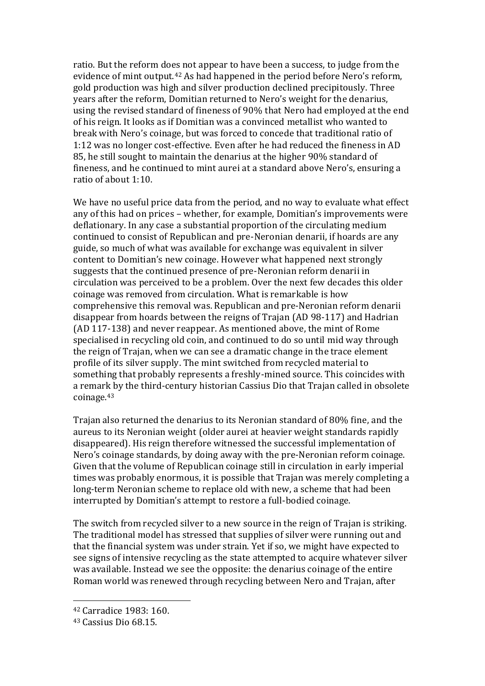ratio. But the reform does not appear to have been a success, to judge from the evidence of mint output.<sup>42</sup> As had happened in the period before Nero's reform, gold production was high and silver production declined precipitously. Three years after the reform, Domitian returned to Nero's weight for the denarius, using the revised standard of fineness of 90% that Nero had employed at the end of his reign. It looks as if Domitian was a convinced metallist who wanted to break with Nero's coinage, but was forced to concede that traditional ratio of 1:12 was no longer cost-effective. Even after he had reduced the fineness in AD 85, he still sought to maintain the denarius at the higher 90% standard of fineness, and he continued to mint aurei at a standard above Nero's, ensuring a ratio of about 1:10.

We have no useful price data from the period, and no way to evaluate what effect any of this had on prices – whether, for example, Domitian's improvements were deflationary. In any case a substantial proportion of the circulating medium continued to consist of Republican and pre-Neronian denarii, if hoards are any guide, so much of what was available for exchange was equivalent in silver content to Domitian's new coinage. However what happened next strongly suggests that the continued presence of pre-Neronian reform denarii in circulation was perceived to be a problem. Over the next few decades this older coinage was removed from circulation. What is remarkable is how comprehensive this removal was. Republican and pre-Neronian reform denarii disappear from hoards between the reigns of Trajan (AD 98-117) and Hadrian (AD 117-138) and never reappear. As mentioned above, the mint of Rome specialised in recycling old coin, and continued to do so until mid way through the reign of Trajan, when we can see a dramatic change in the trace element profile of its silver supply. The mint switched from recycled material to something that probably represents a freshly-mined source. This coincides with a remark by the third-century historian Cassius Dio that Trajan called in obsolete coinage.<sup>43</sup>

Trajan also returned the denarius to its Neronian standard of 80% fine, and the aureus to its Neronian weight (older aurei at heavier weight standards rapidly disappeared). His reign therefore witnessed the successful implementation of Nero's coinage standards, by doing away with the pre-Neronian reform coinage. Given that the volume of Republican coinage still in circulation in early imperial times was probably enormous, it is possible that Trajan was merely completing a long-term Neronian scheme to replace old with new, a scheme that had been interrupted by Domitian's attempt to restore a full-bodied coinage.

The switch from recycled silver to a new source in the reign of Trajan is striking. The traditional model has stressed that supplies of silver were running out and that the financial system was under strain. Yet if so, we might have expected to see signs of intensive recycling as the state attempted to acquire whatever silver was available. Instead we see the opposite: the denarius coinage of the entire Roman world was renewed through recycling between Nero and Trajan, after

<sup>42</sup> Carradice 1983: 160.

<sup>43</sup> Cassius Dio 68.15.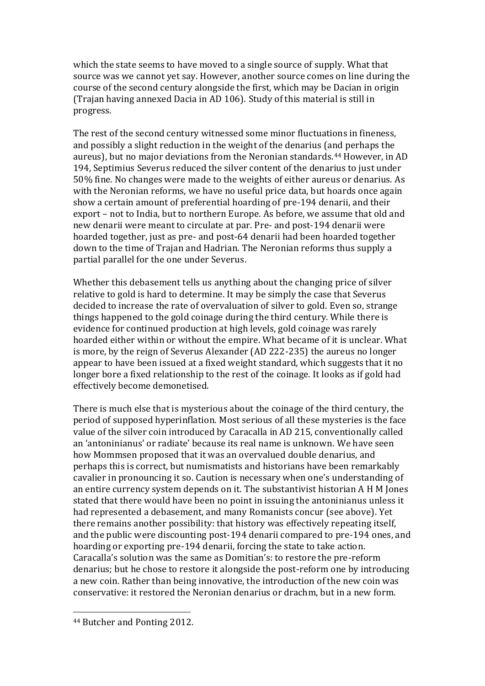which the state seems to have moved to a single source of supply. What that source was we cannot yet say. However, another source comes on line during the course of the second century alongside the first, which may be Dacian in origin (Trajan having annexed Dacia in AD 106). Study of this material is still in progress.

The rest of the second century witnessed some minor fluctuations in fineness, and possibly a slight reduction in the weight of the denarius (and perhaps the aureus), but no major deviations from the Neronian standards.<sup>44</sup> However, in AD 194, Septimius Severus reduced the silver content of the denarius to just under 50% fine. No changes were made to the weights of either aureus or denarius. As with the Neronian reforms, we have no useful price data, but hoards once again show a certain amount of preferential hoarding of pre-194 denarii, and their export – not to India, but to northern Europe. As before, we assume that old and new denarii were meant to circulate at par. Pre- and post-194 denarii were hoarded together, just as pre- and post-64 denarii had been hoarded together down to the time of Trajan and Hadrian. The Neronian reforms thus supply a partial parallel for the one under Severus.

Whether this debasement tells us anything about the changing price of silver relative to gold is hard to determine. It may be simply the case that Severus decided to increase the rate of overvaluation of silver to gold. Even so, strange things happened to the gold coinage during the third century. While there is evidence for continued production at high levels, gold coinage was rarely hoarded either within or without the empire. What became of it is unclear. What is more, by the reign of Severus Alexander (AD 222-235) the aureus no longer appear to have been issued at a fixed weight standard, which suggests that it no longer bore a fixed relationship to the rest of the coinage. It looks as if gold had effectively become demonetised.

There is much else that is mysterious about the coinage of the third century, the period of supposed hyperinflation. Most serious of all these mysteries is the face value of the silver coin introduced by Caracalla in AD 215, conventionally called an 'antoninianus' or radiate' because its real name is unknown. We have seen how Mommsen proposed that it was an overvalued double denarius, and perhaps this is correct, but numismatists and historians have been remarkably cavalier in pronouncing it so. Caution is necessary when one's understanding of an entire currency system depends on it. The substantivist historian A H M Jones stated that there would have been no point in issuing the antoninianus unless it had represented a debasement, and many Romanists concur (see above). Yet there remains another possibility: that history was effectively repeating itself, and the public were discounting post-194 denarii compared to pre-194 ones, and hoarding or exporting pre-194 denarii, forcing the state to take action. Caracalla's solution was the same as Domitian's: to restore the pre-reform denarius; but he chose to restore it alongside the post-reform one by introducing a new coin. Rather than being innovative, the introduction of the new coin was conservative: it restored the Neronian denarius or drachm, but in a new form.

<sup>44</sup> Butcher and Ponting 2012.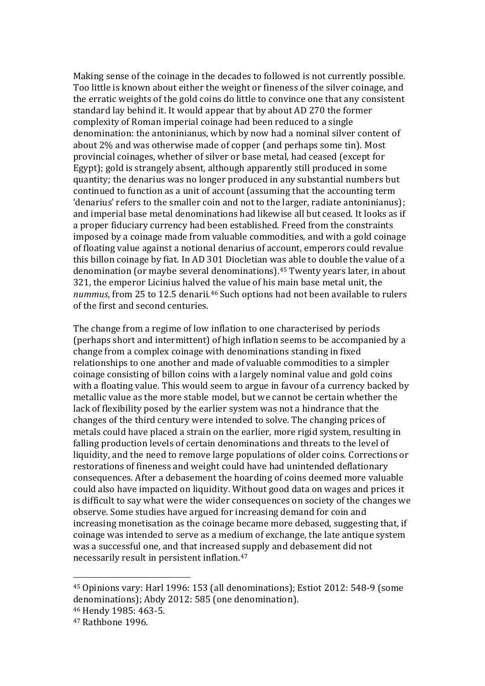Making sense of the coinage in the decades to followed is not currently possible. Too little is known about either the weight or fineness of the silver coinage, and the erratic weights of the gold coins do little to convince one that any consistent standard lay behind it. It would appear that by about AD 270 the former complexity of Roman imperial coinage had been reduced to a single denomination: the antoninianus, which by now had a nominal silver content of about 2% and was otherwise made of copper (and perhaps some tin). Most provincial coinages, whether of silver or base metal, had ceased (except for Egypt); gold is strangely absent, although apparently still produced in some quantity; the denarius was no longer produced in any substantial numbers but continued to function as a unit of account (assuming that the accounting term 'denarius' refers to the smaller coin and not to the larger, radiate antoninianus); and imperial base metal denominations had likewise all but ceased. It looks as if a proper fiduciary currency had been established. Freed from the constraints imposed by a coinage made from valuable commodities, and with a gold coinage of floating value against a notional denarius of account, emperors could revalue this billon coinage by fiat. In AD 301 Diocletian was able to double the value of a denomination (or maybe several denominations). <sup>45</sup> Twenty years later, in about 321, the emperor Licinius halved the value of his main base metal unit, the *nummus*, from 25 to 12.5 denarii.<sup>46</sup> Such options had not been available to rulers of the first and second centuries.

The change from a regime of low inflation to one characterised by periods (perhaps short and intermittent) of high inflation seems to be accompanied by a change from a complex coinage with denominations standing in fixed relationships to one another and made of valuable commodities to a simpler coinage consisting of billon coins with a largely nominal value and gold coins with a floating value. This would seem to argue in favour of a currency backed by metallic value as the more stable model, but we cannot be certain whether the lack of flexibility posed by the earlier system was not a hindrance that the changes of the third century were intended to solve. The changing prices of metals could have placed a strain on the earlier, more rigid system, resulting in falling production levels of certain denominations and threats to the level of liquidity, and the need to remove large populations of older coins. Corrections or restorations of fineness and weight could have had unintended deflationary consequences. After a debasement the hoarding of coins deemed more valuable could also have impacted on liquidity. Without good data on wages and prices it is difficult to say what were the wider consequences on society of the changes we observe. Some studies have argued for increasing demand for coin and increasing monetisation as the coinage became more debased, suggesting that, if coinage was intended to serve as a medium of exchange, the late antique system was a successful one, and that increased supply and debasement did not necessarily result in persistent inflation. 47

<sup>45</sup> Opinions vary: Harl 1996: 153 (all denominations); Estiot 2012: 548-9 (some denominations); Abdy 2012: 585 (one denomination). <sup>46</sup> Hendy 1985: 463-5.

<sup>47</sup> Rathbone 1996.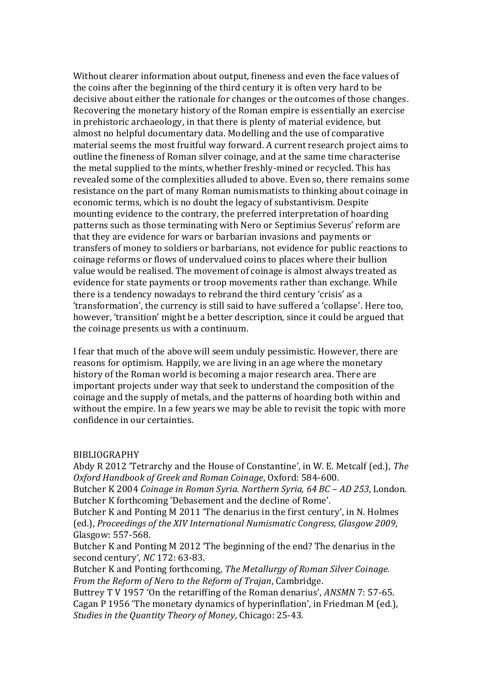Without clearer information about output, fineness and even the face values of the coins after the beginning of the third century it is often very hard to be decisive about either the rationale for changes or the outcomes of those changes. Recovering the monetary history of the Roman empire is essentially an exercise in prehistoric archaeology, in that there is plenty of material evidence, but almost no helpful documentary data. Modelling and the use of comparative material seems the most fruitful way forward. A current research project aims to outline the fineness of Roman silver coinage, and at the same time characterise the metal supplied to the mints, whether freshly-mined or recycled. This has revealed some of the complexities alluded to above. Even so, there remains some resistance on the part of many Roman numismatists to thinking about coinage in economic terms, which is no doubt the legacy of substantivism. Despite mounting evidence to the contrary, the preferred interpretation of hoarding patterns such as those terminating with Nero or Septimius Severus' reform are that they are evidence for wars or barbarian invasions and payments or transfers of money to soldiers or barbarians, not evidence for public reactions to coinage reforms or flows of undervalued coins to places where their bullion value would be realised. The movement of coinage is almost always treated as evidence for state payments or troop movements rather than exchange. While there is a tendency nowadays to rebrand the third century 'crisis' as a 'transformation', the currency is still said to have suffered a 'collapse'. Here too, however, 'transition' might be a better description, since it could be argued that the coinage presents us with a continuum.

I fear that much of the above will seem unduly pessimistic. However, there are reasons for optimism. Happily, we are living in an age where the monetary history of the Roman world is becoming a major research area. There are important projects under way that seek to understand the composition of the coinage and the supply of metals, and the patterns of hoarding both within and without the empire. In a few years we may be able to revisit the topic with more confidence in our certainties.

## BIBLIOGRAPHY

Abdy R 2012 'Tetrarchy and the House of Constantine', in W. E. Metcalf (ed.), *The Oxford Handbook of Greek and Roman Coinage*, Oxford: 584-600.

Butcher K 2004 *Coinage in Roman Syria. Northern Syria, 64 BC - AD 253*, London. Butcher K forthcoming 'Debasement and the decline of Rome'.

Butcher K and Ponting M 2011 'The denarius in the first century', in N. Holmes (ed.), *Proceedings of the XIV International Numismatic Congress, Glasgow 2009*, Glasgow: 557-568.

Butcher K and Ponting M 2012 'The beginning of the end? The denarius in the second century', *NC* 172: 63-83.

Butcher K and Ponting forthcoming, *The Metallurgy of Roman Silver Coinage. From the Reform of Nero to the Reform of Trajan*, Cambridge.

Buttrey T V 1957 'On the retariffing of the Roman denarius', *ANSMN* 7: 57-65. Cagan P 1956 'The monetary dynamics of hyperinflation', in Friedman M (ed.), *Studies in the Quantity Theory of Money*, Chicago: 25-43.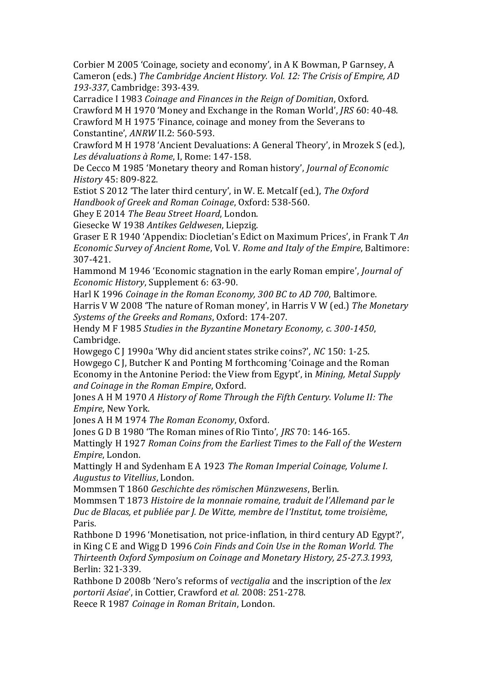Corbier M 2005 'Coinage, society and economy', in A K Bowman, P Garnsey, A Cameron (eds.) *The Cambridge Ancient History. Vol. 12: The Crisis of Empire, AD 193-337*, Cambridge: 393-439.

Carradice I 1983 *Coinage and Finances in the Reign of Domitian*, Oxford. Crawford M H 1970 'Money and Exchange in the Roman World', *JRS* 60: 40-48. Crawford M H 1975 'Finance, coinage and money from the Severans to Constantine', *ANRW* II.2: 560-593.

Crawford M H 1978 'Ancient Devaluations: A General Theory', in Mrozek S (ed.), *Les dévaluations à Rome*, I, Rome: 147-158.

De Cecco M 1985 'Monetary theory and Roman history', *Journal of Economic History* 45: 809-822.

Estiot S 2012 'The later third century', in W. E. Metcalf (ed.), *The Oxford Handbook of Greek and Roman Coinage*, Oxford: 538-560.

Ghey E 2014 *The Beau Street Hoard*, London.

Giesecke W 1938 *Antikes Geldwesen*, Liepzig.

Graser E R 1940 'Appendix: Diocletian's Edict on Maximum Prices', in Frank T *An Economic Survey of Ancient Rome*, Vol. V*. Rome and Italy of the Empire*, Baltimore: 307-421.

Hammond M 1946 'Economic stagnation in the early Roman empire', *Journal of Economic History*, Supplement 6: 63-90.

Harl K 1996 *Coinage in the Roman Economy, 300 BC to AD 700*, Baltimore. Harris V W 2008 'The nature of Roman money', in Harris V W (ed.) *The Monetary Systems of the Greeks and Romans*, Oxford: 174-207.

Hendy M F 1985 *Studies in the Byzantine Monetary Economy, c. 300-1450*, Cambridge.

Howgego C J 1990a 'Why did ancient states strike coins?', *NC* 150: 1-25. Howgego C J, Butcher K and Ponting M forthcoming 'Coinage and the Roman Economy in the Antonine Period: the View from Egypt', in *Mining, Metal Supply and Coinage in the Roman Empire*, Oxford.

Jones A H M 1970 *A History of Rome Through the Fifth Century. Volume II: The Empire*, New York.

Jones A H M 1974 *The Roman Economy*, Oxford.

Jones G D B 1980 'The Roman mines of Rio Tinto', *JRS* 70: 146-165.

Mattingly H 1927 *Roman Coins from the Earliest Times to the Fall of the Western Empire*, London.

Mattingly H and Sydenham E A 1923 *The Roman Imperial Coinage, Volume I. Augustus to Vitellius*, London.

Mommsen T 1860 *Geschichte des römischen Münzwesens*, Berlin.

Mommsen T 1873 *Histoire de la monnaie romaine, traduit de l'Allemand par le Duc de Blacas, et publiée par J. De Witte, membre de l'Institut, tome troisième*, Paris.

Rathbone D 1996 'Monetisation, not price-inflation, in third century AD Egypt?', in King C E and Wigg D 1996 *Coin Finds and Coin Use in the Roman World. The Thirteenth Oxford Symposium on Coinage and Monetary History, 25-27.3.1993*, Berlin: 321-339.

Rathbone D 2008b 'Nero's reforms of *vectigalia* and the inscription of the *lex portorii Asiae*', in Cottier, Crawford *et al.* 2008: 251-278.

Reece R 1987 *Coinage in Roman Britain*, London.